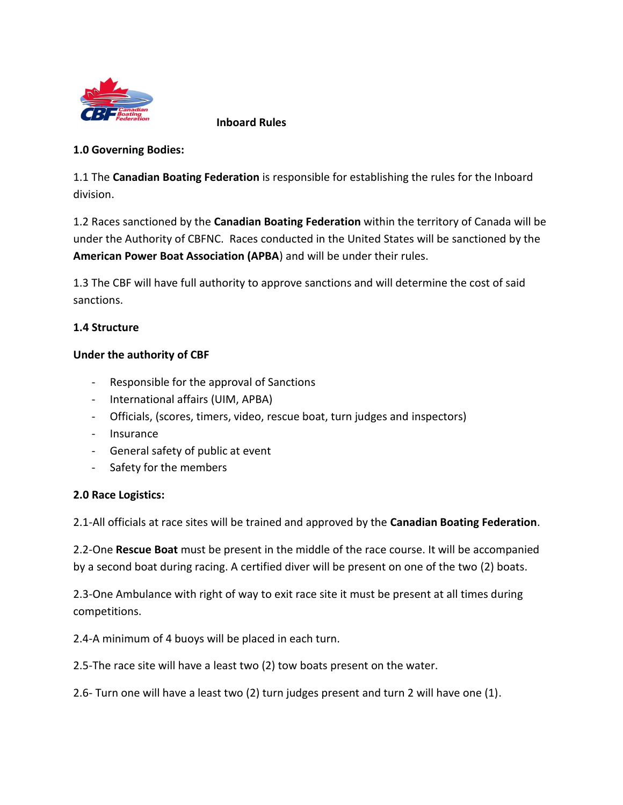

 **Inboard Rules**

### **1.0 Governing Bodies:**

1.1 The **Canadian Boating Federation** is responsible for establishing the rules for the Inboard division.

1.2 Races sanctioned by the **Canadian Boating Federation** within the territory of Canada will be under the Authority of CBFNC. Races conducted in the United States will be sanctioned by the **American Power Boat Association (APBA**) and will be under their rules.

1.3 The CBF will have full authority to approve sanctions and will determine the cost of said sanctions.

# **1.4 Structure**

### **Under the authority of CBF**

- Responsible for the approval of Sanctions
- International affairs (UIM, APBA)
- Officials, (scores, timers, video, rescue boat, turn judges and inspectors)
- Insurance
- General safety of public at event
- Safety for the members

### **2.0 Race Logistics:**

2.1-All officials at race sites will be trained and approved by the **Canadian Boating Federation**.

2.2-One **Rescue Boat** must be present in the middle of the race course. It will be accompanied by a second boat during racing. A certified diver will be present on one of the two (2) boats.

2.3-One Ambulance with right of way to exit race site it must be present at all times during competitions.

2.4-A minimum of 4 buoys will be placed in each turn.

2.5-The race site will have a least two (2) tow boats present on the water.

2.6- Turn one will have a least two (2) turn judges present and turn 2 will have one (1).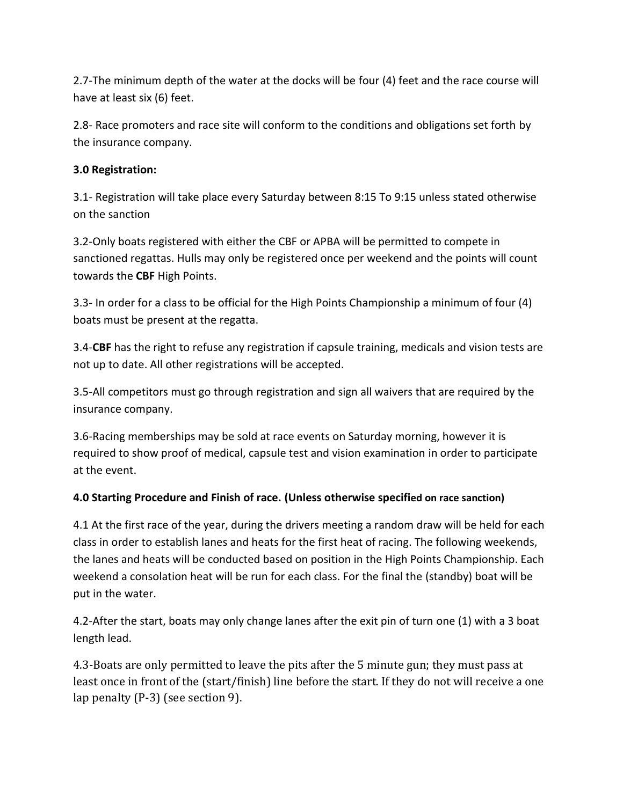2.7-The minimum depth of the water at the docks will be four (4) feet and the race course will have at least six (6) feet.

2.8- Race promoters and race site will conform to the conditions and obligations set forth by the insurance company.

# **3.0 Registration:**

3.1- Registration will take place every Saturday between 8:15 To 9:15 unless stated otherwise on the sanction

3.2-Only boats registered with either the CBF or APBA will be permitted to compete in sanctioned regattas. Hulls may only be registered once per weekend and the points will count towards the **CBF** High Points.

3.3- In order for a class to be official for the High Points Championship a minimum of four (4) boats must be present at the regatta.

3.4-**CBF** has the right to refuse any registration if capsule training, medicals and vision tests are not up to date. All other registrations will be accepted.

3.5-All competitors must go through registration and sign all waivers that are required by the insurance company.

3.6-Racing memberships may be sold at race events on Saturday morning, however it is required to show proof of medical, capsule test and vision examination in order to participate at the event.

# **4.0 Starting Procedure and Finish of race. (Unless otherwise specified on race sanction)**

4.1 At the first race of the year, during the drivers meeting a random draw will be held for each class in order to establish lanes and heats for the first heat of racing. The following weekends, the lanes and heats will be conducted based on position in the High Points Championship. Each weekend a consolation heat will be run for each class. For the final the (standby) boat will be put in the water.

4.2-After the start, boats may only change lanes after the exit pin of turn one (1) with a 3 boat length lead.

4.3-Boats are only permitted to leave the pits after the 5 minute gun; they must pass at least once in front of the (start/finish) line before the start. If they do not will receive a one lap penalty (P-3) (see section 9).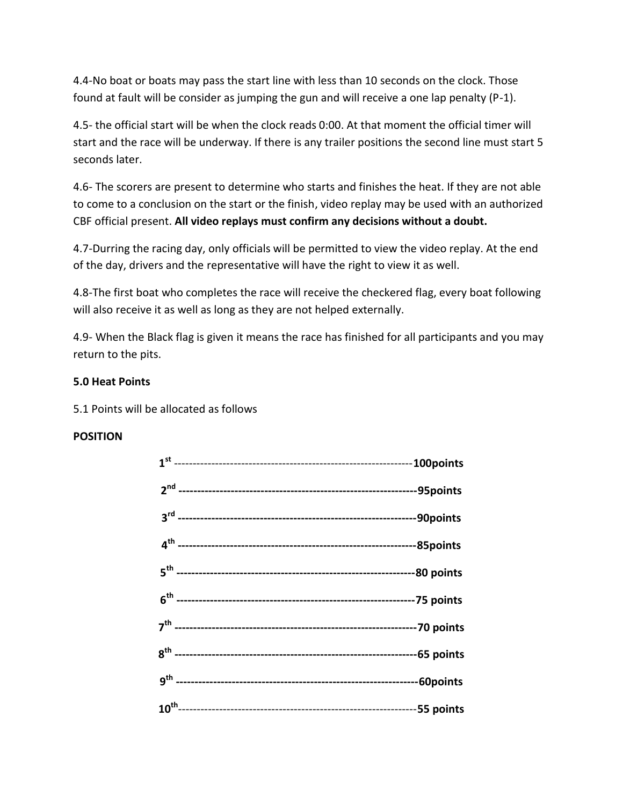4.4-No boat or boats may pass the start line with less than 10 seconds on the clock. Those found at fault will be consider as jumping the gun and will receive a one lap penalty (P-1).

4.5- the official start will be when the clock reads 0:00. At that moment the official timer will start and the race will be underway. If there is any trailer positions the second line must start 5 seconds later.

4.6- The scorers are present to determine who starts and finishes the heat. If they are not able to come to a conclusion on the start or the finish, video replay may be used with an authorized CBF official present. **All video replays must confirm any decisions without a doubt.**

4.7-Durring the racing day, only officials will be permitted to view the video replay. At the end of the day, drivers and the representative will have the right to view it as well.

4.8-The first boat who completes the race will receive the checkered flag, every boat following will also receive it as well as long as they are not helped externally.

4.9- When the Black flag is given it means the race has finished for all participants and you may return to the pits.

### **5.0 Heat Points**

5.1 Points will be allocated as follows

# **POSITION**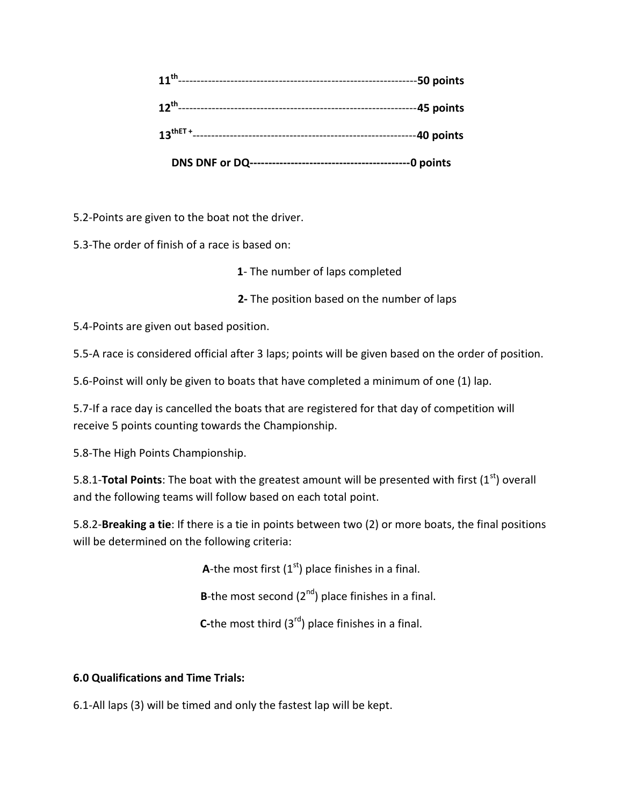|                      | -0 points   |
|----------------------|-------------|
| $13^{\text{thET +}}$ | -40 points  |
| $12^{th}$ ----       | --45 points |
| $11^{th}$            | -50 points  |

5.2-Points are given to the boat not the driver.

5.3-The order of finish of a race is based on:

**1**- The number of laps completed

**2-** The position based on the number of laps

5.4-Points are given out based position.

5.5-A race is considered official after 3 laps; points will be given based on the order of position.

5.6-Poinst will only be given to boats that have completed a minimum of one (1) lap.

5.7-If a race day is cancelled the boats that are registered for that day of competition will receive 5 points counting towards the Championship.

5.8-The High Points Championship.

5.8.1-**Total Points**: The boat with the greatest amount will be presented with first (1<sup>st</sup>) overall and the following teams will follow based on each total point.

5.8.2-**Breaking a tie**: If there is a tie in points between two (2) or more boats, the final positions will be determined on the following criteria:

**A**-the most first  $(1<sup>st</sup>)$  place finishes in a final.

**B**-the most second  $(2^{nd})$  place finishes in a final.

**C-the most third (3<sup>rd</sup>) place finishes in a final.** 

# **6.0 Qualifications and Time Trials:**

6.1-All laps (3) will be timed and only the fastest lap will be kept.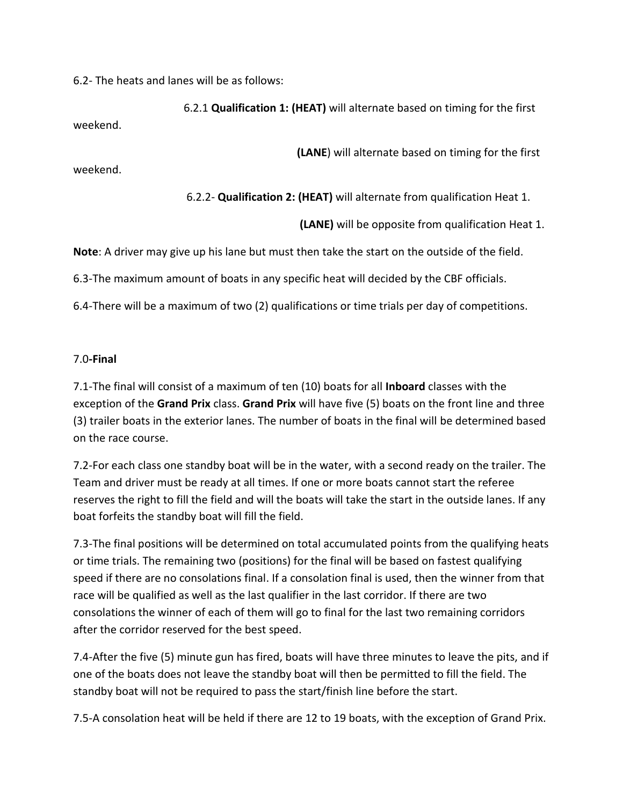6.2- The heats and lanes will be as follows:

 6.2.1 **Qualification 1: (HEAT)** will alternate based on timing for the first weekend.

 **(LANE**) will alternate based on timing for the first

weekend.

6.2.2- **Qualification 2: (HEAT)** will alternate from qualification Heat 1.

 **(LANE)** will be opposite from qualification Heat 1.

**Note**: A driver may give up his lane but must then take the start on the outside of the field.

6.3-The maximum amount of boats in any specific heat will decided by the CBF officials.

6.4-There will be a maximum of two (2) qualifications or time trials per day of competitions.

### 7.0**-Final**

7.1-The final will consist of a maximum of ten (10) boats for all **Inboard** classes with the exception of the **Grand Prix** class. **Grand Prix** will have five (5) boats on the front line and three (3) trailer boats in the exterior lanes. The number of boats in the final will be determined based on the race course.

7.2-For each class one standby boat will be in the water, with a second ready on the trailer. The Team and driver must be ready at all times. If one or more boats cannot start the referee reserves the right to fill the field and will the boats will take the start in the outside lanes. If any boat forfeits the standby boat will fill the field.

7.3-The final positions will be determined on total accumulated points from the qualifying heats or time trials. The remaining two (positions) for the final will be based on fastest qualifying speed if there are no consolations final. If a consolation final is used, then the winner from that race will be qualified as well as the last qualifier in the last corridor. If there are two consolations the winner of each of them will go to final for the last two remaining corridors after the corridor reserved for the best speed.

7.4-After the five (5) minute gun has fired, boats will have three minutes to leave the pits, and if one of the boats does not leave the standby boat will then be permitted to fill the field. The standby boat will not be required to pass the start/finish line before the start.

7.5-A consolation heat will be held if there are 12 to 19 boats, with the exception of Grand Prix.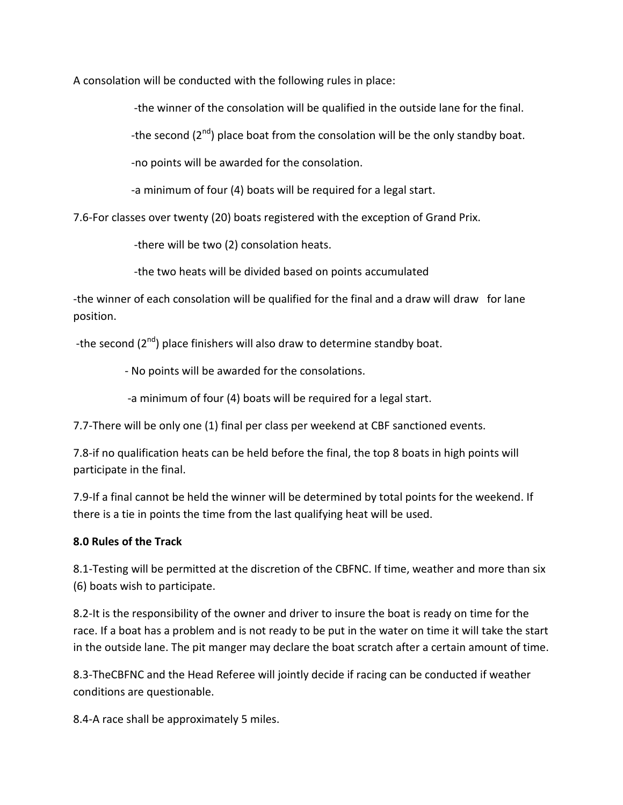A consolation will be conducted with the following rules in place:

-the winner of the consolation will be qualified in the outside lane for the final.

-the second  $(2^{nd})$  place boat from the consolation will be the only standby boat.

-no points will be awarded for the consolation.

-a minimum of four (4) boats will be required for a legal start.

7.6-For classes over twenty (20) boats registered with the exception of Grand Prix.

-there will be two (2) consolation heats.

-the two heats will be divided based on points accumulated

-the winner of each consolation will be qualified for the final and a draw will draw for lane position.

-the second (2<sup>nd</sup>) place finishers will also draw to determine standby boat.

- No points will be awarded for the consolations.

-a minimum of four (4) boats will be required for a legal start.

7.7-There will be only one (1) final per class per weekend at CBF sanctioned events.

7.8-if no qualification heats can be held before the final, the top 8 boats in high points will participate in the final.

7.9-If a final cannot be held the winner will be determined by total points for the weekend. If there is a tie in points the time from the last qualifying heat will be used.

### **8.0 Rules of the Track**

8.1-Testing will be permitted at the discretion of the CBFNC. If time, weather and more than six (6) boats wish to participate.

8.2-It is the responsibility of the owner and driver to insure the boat is ready on time for the race. If a boat has a problem and is not ready to be put in the water on time it will take the start in the outside lane. The pit manger may declare the boat scratch after a certain amount of time.

8.3-TheCBFNC and the Head Referee will jointly decide if racing can be conducted if weather conditions are questionable.

8.4-A race shall be approximately 5 miles.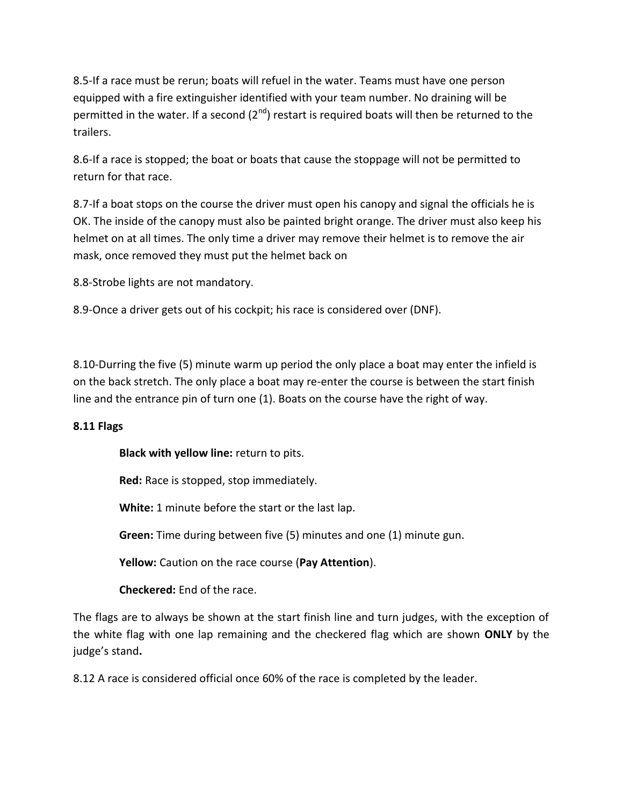8.5-If a race must be rerun; boats will refuel in the water. Teams must have one person equipped with a fire extinguisher identified with your team number. No draining will be permitted in the water. If a second  $(2^{nd})$  restart is required boats will then be returned to the trailers.

8.6-If a race is stopped; the boat or boats that cause the stoppage will not be permitted to return for that race.

8.7-If a boat stops on the course the driver must open his canopy and signal the officials he is OK. The inside of the canopy must also be painted bright orange. The driver must also keep his helmet on at all times. The only time a driver may remove their helmet is to remove the air mask, once removed they must put the helmet back on

8.8-Strobe lights are not mandatory.

8.9-Once a driver gets out of his cockpit; his race is considered over (DNF).

8.10-Durring the five (5) minute warm up period the only place a boat may enter the infield is on the back stretch. The only place a boat may re-enter the course is between the start finish line and the entrance pin of turn one (1). Boats on the course have the right of way.

# **8.11 Flags**

 **Black with yellow line:** return to pits.

 **Red:** Race is stopped, stop immediately.

 **White:** 1 minute before the start or the last lap.

 **Green:** Time during between five (5) minutes and one (1) minute gun.

 **Yellow:** Caution on the race course (**Pay Attention**).

 **Checkered:** End of the race.

The flags are to always be shown at the start finish line and turn judges, with the exception of the white flag with one lap remaining and the checkered flag which are shown **ONLY** by the judge's stand**.**

8.12 A race is considered official once 60% of the race is completed by the leader.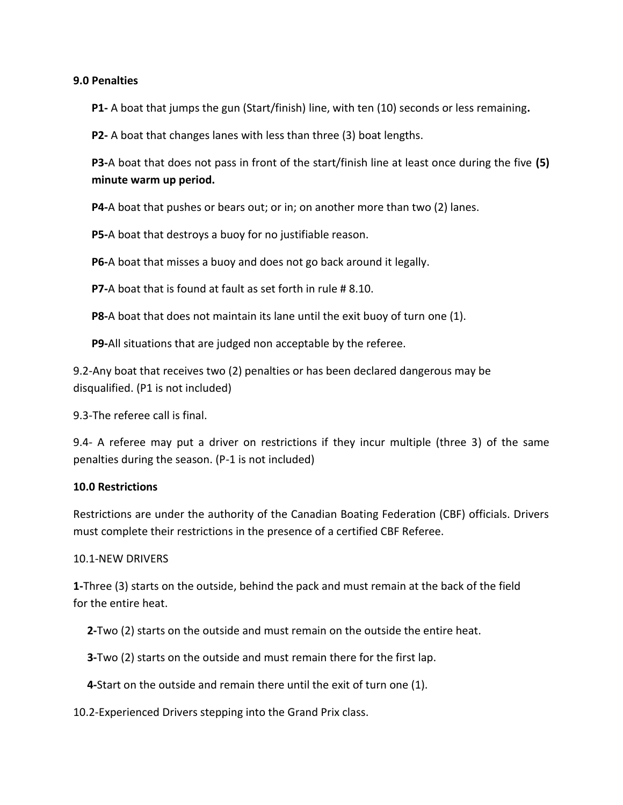#### **9.0 Penalties**

**P1-** A boat that jumps the gun (Start/finish) line, with ten (10) seconds or less remaining**.**

**P2-** A boat that changes lanes with less than three (3) boat lengths.

**P3-**A boat that does not pass in front of the start/finish line at least once during the five **(5) minute warm up period.**

**P4-**A boat that pushes or bears out; or in; on another more than two (2) lanes.

**P5-**A boat that destroys a buoy for no justifiable reason.

**P6-**A boat that misses a buoy and does not go back around it legally.

**P7-**A boat that is found at fault as set forth in rule # 8.10.

**P8-**A boat that does not maintain its lane until the exit buoy of turn one (1).

**P9-**All situations that are judged non acceptable by the referee.

9.2-Any boat that receives two (2) penalties or has been declared dangerous may be disqualified. (P1 is not included)

9.3-The referee call is final.

9.4- A referee may put a driver on restrictions if they incur multiple (three 3) of the same penalties during the season. (P-1 is not included)

### **10.0 Restrictions**

Restrictions are under the authority of the Canadian Boating Federation (CBF) officials. Drivers must complete their restrictions in the presence of a certified CBF Referee.

### 10.1-NEW DRIVERS

**1-**Three (3) starts on the outside, behind the pack and must remain at the back of the field for the entire heat.

 **2-**Two (2) starts on the outside and must remain on the outside the entire heat.

 **3-**Two (2) starts on the outside and must remain there for the first lap.

 **4-**Start on the outside and remain there until the exit of turn one (1).

10.2-Experienced Drivers stepping into the Grand Prix class.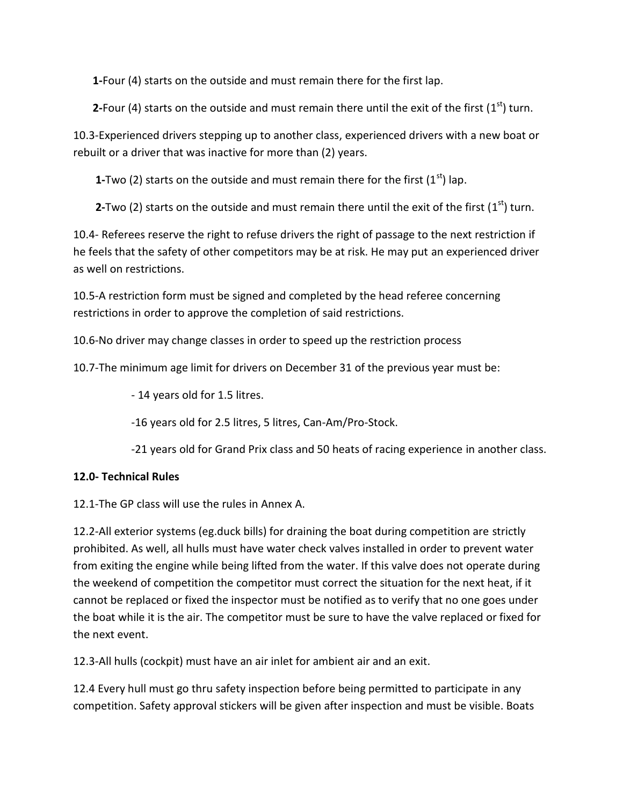**1-**Four (4) starts on the outside and must remain there for the first lap.

**2**-Four (4) starts on the outside and must remain there until the exit of the first ( $1<sup>st</sup>$ ) turn.

10.3-Experienced drivers stepping up to another class, experienced drivers with a new boat or rebuilt or a driver that was inactive for more than (2) years.

**1-Two (2) starts on the outside and must remain there for the first**  $(1<sup>st</sup>)$  **lap.** 

**2-Two (2) starts on the outside and must remain there until the exit of the first (** $1<sup>st</sup>$ **) turn.** 

10.4- Referees reserve the right to refuse drivers the right of passage to the next restriction if he feels that the safety of other competitors may be at risk. He may put an experienced driver as well on restrictions.

10.5-A restriction form must be signed and completed by the head referee concerning restrictions in order to approve the completion of said restrictions.

10.6-No driver may change classes in order to speed up the restriction process

10.7-The minimum age limit for drivers on December 31 of the previous year must be:

- 14 years old for 1.5 litres.

-16 years old for 2.5 litres, 5 litres, Can-Am/Pro-Stock.

-21 years old for Grand Prix class and 50 heats of racing experience in another class.

# **12.0- Technical Rules**

12.1-The GP class will use the rules in Annex A.

12.2-All exterior systems (eg.duck bills) for draining the boat during competition are strictly prohibited. As well, all hulls must have water check valves installed in order to prevent water from exiting the engine while being lifted from the water. If this valve does not operate during the weekend of competition the competitor must correct the situation for the next heat, if it cannot be replaced or fixed the inspector must be notified as to verify that no one goes under the boat while it is the air. The competitor must be sure to have the valve replaced or fixed for the next event.

12.3-All hulls (cockpit) must have an air inlet for ambient air and an exit.

12.4 Every hull must go thru safety inspection before being permitted to participate in any competition. Safety approval stickers will be given after inspection and must be visible. Boats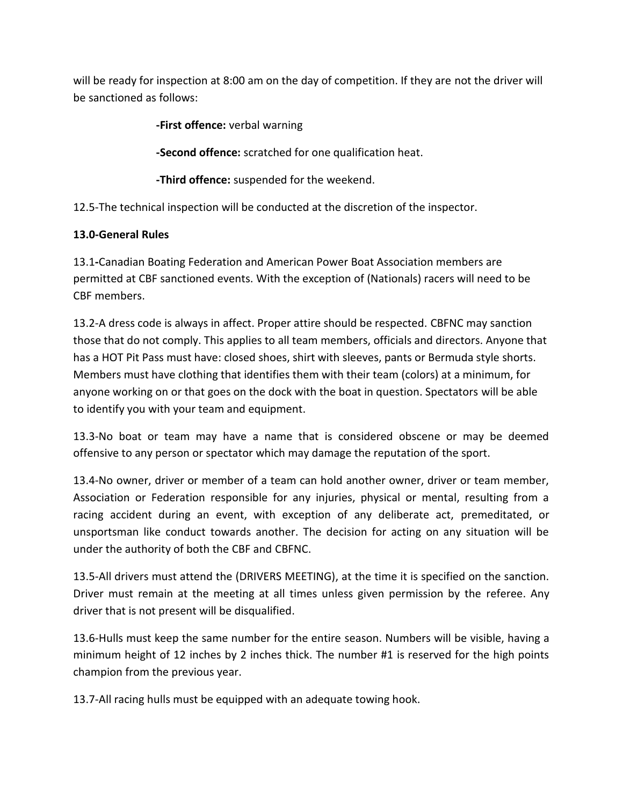will be ready for inspection at 8:00 am on the day of competition. If they are not the driver will be sanctioned as follows:

**-First offence:** verbal warning

**-Second offence:** scratched for one qualification heat.

 **-Third offence:** suspended for the weekend.

12.5-The technical inspection will be conducted at the discretion of the inspector.

# **13.0-General Rules**

13.1**-**Canadian Boating Federation and American Power Boat Association members are permitted at CBF sanctioned events. With the exception of (Nationals) racers will need to be CBF members.

13.2-A dress code is always in affect. Proper attire should be respected. CBFNC may sanction those that do not comply. This applies to all team members, officials and directors. Anyone that has a HOT Pit Pass must have: closed shoes, shirt with sleeves, pants or Bermuda style shorts. Members must have clothing that identifies them with their team (colors) at a minimum, for anyone working on or that goes on the dock with the boat in question. Spectators will be able to identify you with your team and equipment.

13.3-No boat or team may have a name that is considered obscene or may be deemed offensive to any person or spectator which may damage the reputation of the sport.

13.4-No owner, driver or member of a team can hold another owner, driver or team member, Association or Federation responsible for any injuries, physical or mental, resulting from a racing accident during an event, with exception of any deliberate act, premeditated, or unsportsman like conduct towards another. The decision for acting on any situation will be under the authority of both the CBF and CBFNC.

13.5-All drivers must attend the (DRIVERS MEETING), at the time it is specified on the sanction. Driver must remain at the meeting at all times unless given permission by the referee. Any driver that is not present will be disqualified.

13.6-Hulls must keep the same number for the entire season. Numbers will be visible, having a minimum height of 12 inches by 2 inches thick. The number #1 is reserved for the high points champion from the previous year.

13.7-All racing hulls must be equipped with an adequate towing hook.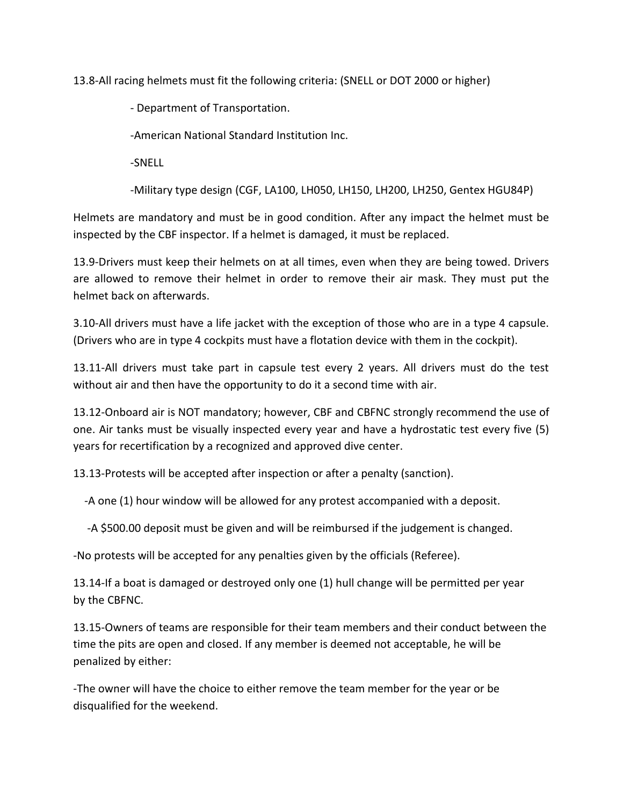13.8-All racing helmets must fit the following criteria: (SNELL or DOT 2000 or higher)

- Department of Transportation.

-American National Standard Institution Inc.

-SNELL

-Military type design (CGF, LA100, LH050, LH150, LH200, LH250, Gentex HGU84P)

Helmets are mandatory and must be in good condition. After any impact the helmet must be inspected by the CBF inspector. If a helmet is damaged, it must be replaced.

13.9-Drivers must keep their helmets on at all times, even when they are being towed. Drivers are allowed to remove their helmet in order to remove their air mask. They must put the helmet back on afterwards.

3.10-All drivers must have a life jacket with the exception of those who are in a type 4 capsule. (Drivers who are in type 4 cockpits must have a flotation device with them in the cockpit).

13.11-All drivers must take part in capsule test every 2 years. All drivers must do the test without air and then have the opportunity to do it a second time with air.

13.12-Onboard air is NOT mandatory; however, CBF and CBFNC strongly recommend the use of one. Air tanks must be visually inspected every year and have a hydrostatic test every five (5) years for recertification by a recognized and approved dive center.

13.13-Protests will be accepted after inspection or after a penalty (sanction).

-A one (1) hour window will be allowed for any protest accompanied with a deposit.

-A \$500.00 deposit must be given and will be reimbursed if the judgement is changed.

-No protests will be accepted for any penalties given by the officials (Referee).

13.14-If a boat is damaged or destroyed only one (1) hull change will be permitted per year by the CBFNC.

13.15-Owners of teams are responsible for their team members and their conduct between the time the pits are open and closed. If any member is deemed not acceptable, he will be penalized by either:

-The owner will have the choice to either remove the team member for the year or be disqualified for the weekend.